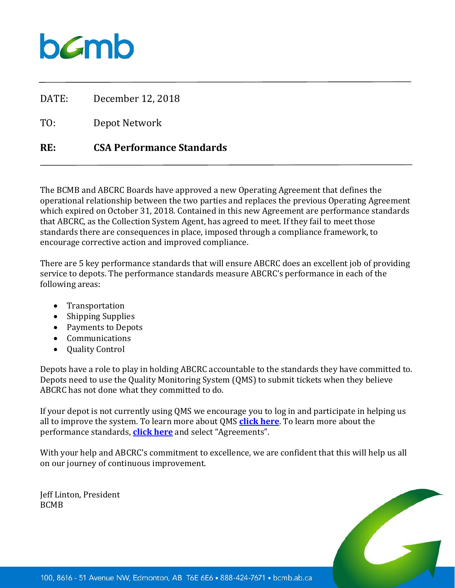DATE: December 12, 2018

TO: Depot Network

### **RE: CSA Performance Standards**

The BCMB and ABCRC Boards have approved a new Operating Agreement that defines the operational relationship between the two parties and replaces the previous Operating Agreement which expired on October 31, 2018. Contained in this new Agreement are performance standards that ABCRC, as the Collection System Agent, has agreed to meet. If they fail to meet those standards there are consequences in place, imposed through a compliance framework, to encourage corrective action and improved compliance.

There are 5 key performance standards that will ensure ABCRC does an excellent job of providing service to depots. The performance standards measure ABCRC's performance in each of the following areas:

- Transportation
- Shipping Supplies
- Payments to Depots
- Communications
- Quality Control

Depots have a role to play in holding ABCRC accountable to the standards they have committed to. Depots need to use the Quality Monitoring System (QMS) to submit tickets when they believe ABCRC has not done what they committed to do.

If your depot is not currently using QMS we encourage you to log in and participate in helping us all to improve the system. To learn more about QMS **[click here](https://www.bcmb.ab.ca/depot-owners-operators/depot-logins-resources/)**. To learn more about the performance standards, **[click here](https://www.bcmb.ab.ca/about/governing-documents/)** and select "Agreements".

With your help and ABCRC's commitment to excellence, we are confident that this will help us all on our journey of continuous improvement.

Jeff Linton, President BCMB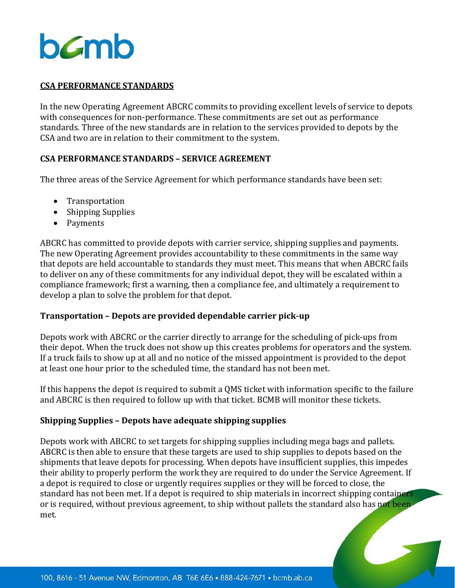### **CSA PERFORMANCE STANDARDS**

In the new Operating Agreement ABCRC commits to providing excellent levels of service to depots with consequences for non-performance. These commitments are set out as performance standards. Three of the new standards are in relation to the services provided to depots by the CSA and two are in relation to their commitment to the system.

### **CSA PERFORMANCE STANDARDS – SERVICE AGREEMENT**

The three areas of the Service Agreement for which performance standards have been set:

- Transportation
- Shipping Supplies
- Payments

ABCRC has committed to provide depots with carrier service, shipping supplies and payments. The new Operating Agreement provides accountability to these commitments in the same way that depots are held accountable to standards they must meet. This means that when ABCRC fails to deliver on any of these commitments for any individual depot, they will be escalated within a compliance framework; first a warning, then a compliance fee, and ultimately a requirement to develop a plan to solve the problem for that depot.

### **Transportation – Depots are provided dependable carrier pick-up**

Depots work with ABCRC or the carrier directly to arrange for the scheduling of pick-ups from their depot. When the truck does not show up this creates problems for operators and the system. If a truck fails to show up at all and no notice of the missed appointment is provided to the depot at least one hour prior to the scheduled time, the standard has not been met.

If this happens the depot is required to submit a QMS ticket with information specific to the failure and ABCRC is then required to follow up with that ticket. BCMB will monitor these tickets.

### **Shipping Supplies – Depots have adequate shipping supplies**

Depots work with ABCRC to set targets for shipping supplies including mega bags and pallets. ABCRC is then able to ensure that these targets are used to ship supplies to depots based on the shipments that leave depots for processing. When depots have insufficient supplies, this impedes their ability to properly perform the work they are required to do under the Service Agreement. If a depot is required to close or urgently requires supplies or they will be forced to close, the standard has not been met. If a depot is required to ship materials in incorrect shipping containers or is required, without previous agreement, to ship without pallets the standard also has not been met.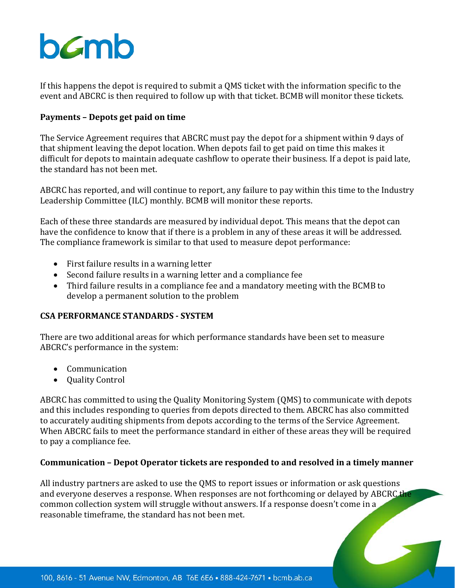If this happens the depot is required to submit a QMS ticket with the information specific to the event and ABCRC is then required to follow up with that ticket. BCMB will monitor these tickets.

### **Payments – Depots get paid on time**

The Service Agreement requires that ABCRC must pay the depot for a shipment within 9 days of that shipment leaving the depot location. When depots fail to get paid on time this makes it difficult for depots to maintain adequate cashflow to operate their business. If a depot is paid late, the standard has not been met.

ABCRC has reported, and will continue to report, any failure to pay within this time to the Industry Leadership Committee (ILC) monthly. BCMB will monitor these reports.

Each of these three standards are measured by individual depot. This means that the depot can have the confidence to know that if there is a problem in any of these areas it will be addressed. The compliance framework is similar to that used to measure depot performance:

- First failure results in a warning letter
- Second failure results in a warning letter and a compliance fee
- Third failure results in a compliance fee and a mandatory meeting with the BCMB to develop a permanent solution to the problem

### **CSA PERFORMANCE STANDARDS - SYSTEM**

There are two additional areas for which performance standards have been set to measure ABCRC's performance in the system:

- Communication
- Quality Control

ABCRC has committed to using the Quality Monitoring System (QMS) to communicate with depots and this includes responding to queries from depots directed to them. ABCRC has also committed to accurately auditing shipments from depots according to the terms of the Service Agreement. When ABCRC fails to meet the performance standard in either of these areas they will be required to pay a compliance fee.

### **Communication – Depot Operator tickets are responded to and resolved in a timely manner**

All industry partners are asked to use the QMS to report issues or information or ask questions and everyone deserves a response. When responses are not forthcoming or delayed by ABCRC the common collection system will struggle without answers. If a response doesn't come in a reasonable timeframe, the standard has not been met.